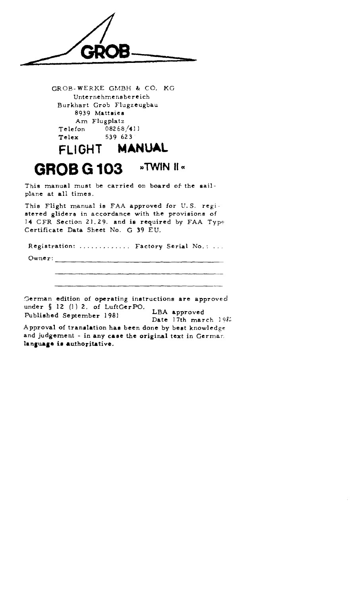FACT CROSS WERKE GMBH & CO, KG<br>
Unternehmensbereich<br>
Burkhart Grob Flugzeugbau<br>
Am Flugplatz<br>
Telefon 08269/411<br>
Telex 539 623<br>
FLIGHT MANUAL<br>
GROB G 103 »TWIN II «<br>
This manual must be carried on board of the sai<br>
plane a

GROB-WERKE GMBH & CO. KG Unternehmensbereich Burkhart Grob Flugzeugbau 8939 Mattsies Am Flugplatz Telefon 08268/411 Telex 539 623

# FLIGHT MANUAL **GROB G 103 »TWIN II"**

This manual must be carried on board of the sailplane at all times.

This Flight manual is FAA approved for U.S. registered gliders in accordance with the provisions of 14 CFR Section 21.29. and is required by FAA Type Certificate Data Sheet No. G 39 EU.

Registration: .............. Factory Serial No.: ...

Owner:

3erman edition of operating instructions are approved under  $\S$  12 (1) 2. of LuftGerPO. . LBA approved

Published September 1981 Date 17th march 1982 Approval of translation has been done by beet knowledge and judgement - in any case the original text in German language is authoritative.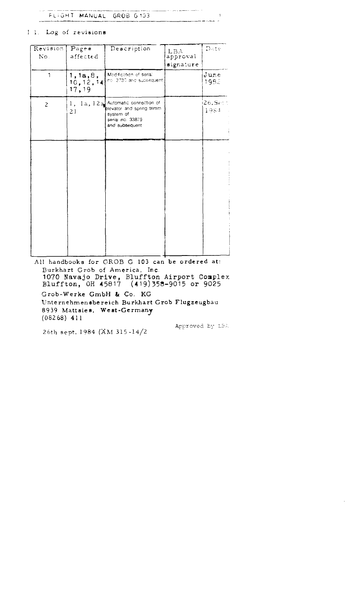المستحديث والمتحدث FLIGHT MANUAL GROB G103 

Il. Log of revisions

| Revision<br>No. | $\overline{\mathbf{p}_{\text{age}}}$<br>affected | Description                                                                                                        | <b>LBA</b><br>approval<br>signature | Date          |
|-----------------|--------------------------------------------------|--------------------------------------------------------------------------------------------------------------------|-------------------------------------|---------------|
| $\mathbf{1}$    | 1, 1a, 8,<br>$\left[10,12,14\right]$<br>17,19    | Modification of serial<br>no. 2730 and subsequent                                                                  |                                     | June<br>1982  |
| $\overline{c}$  | 21                                               | 1, 1a, 12a Automatic connection of<br>elevator and spring trimm<br>system of<br>serial no. 33879<br>and subsequent |                                     | 26.5e<br>1984 |
|                 |                                                  |                                                                                                                    |                                     |               |
|                 |                                                  |                                                                                                                    |                                     |               |
|                 |                                                  |                                                                                                                    |                                     |               |
|                 |                                                  |                                                                                                                    |                                     |               |

All handbooks for GROB G 103 can be ordered at: Burkhart Grob of America, Inc. 1070 Navajo Drive, Bluffton Airport Complex<br>Bluffton, OH 45817 (419)358-9015 or 9025 Grob-Werke GmbH & Co. KG Unternehmensbereich Burkhart Grob Flugzeugbau 8939 Mattaies, West-Germany  $(08268)$  411

26th sept. 1984 (AM 315-14/2)

Approved by LBA

 $\sim 1$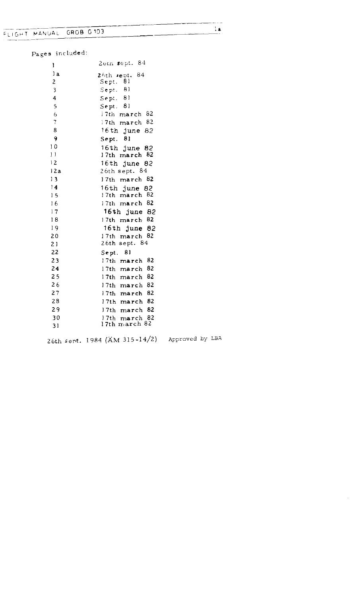Pages included:

| ľ              | 2oth sept. 84         |
|----------------|-----------------------|
| l a            | 84<br>26th sept.      |
| $\overline{2}$ | 81<br>${\tt Sept.}$   |
| 3              | -81<br>$S$ ept.       |
| 4              | -81<br>Sept.          |
| 5              | 81<br>$S$ e pt.       |
| 6              | $17th$ march $82$     |
| $\overline{7}$ | Tth march 82          |
| 8              | 16th june 82          |
| 9              | 81<br>$S$ ept.        |
| 10             | 16th  <br>june 82     |
| $\vert$ )      | 17th march 82         |
| 12             | 16th june 82          |
| 12a            | 26th sept. 84         |
| 13             | 17th march 82         |
| 14             | 16th june $82$        |
| 15             | 17th march<br>-82     |
| 16             | 17th march 82         |
| 17             | 16th june 82          |
| 18             | 17th march 82         |
| 19             | $16th$ june 82        |
| 20             | 17th march 82         |
| 21             | 26th sept. 84         |
| 22             | 81<br>Sept.           |
| 23             | 82<br>17th march      |
| 24             | 82<br>17th march      |
| 25             | 82<br>17th march      |
| 26             | 82<br>17th march      |
| 27             | 82<br>17th march      |
| 28             | 82<br>l7th march      |
| 29             | 82<br>17th march      |
| 30             | 82<br>17th -<br>march |
| 31             | 17th march 82         |

26th sent . 1984 (AM 315-14/2) Approved by LBA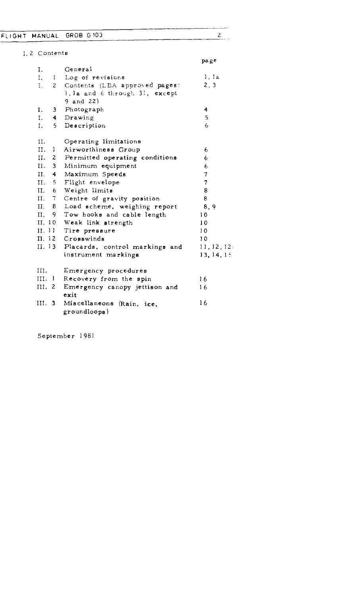# FLIGHT MANUAL GROB G103

# I.2 Contents

|      |               |                                           | page           |
|------|---------------|-------------------------------------------|----------------|
| I.   |               | Ceneral                                   |                |
| Ι.   |               | 1 Log of revisions                        | l, l a         |
| L.   |               | 2 Contents (LBA approved pages:           | 2, 3           |
|      |               | 1, la and 6 through 31, except            |                |
|      |               | $9$ and $22)$                             |                |
| L    |               | 3 Photograph                              | 4              |
| I.   |               | 4 Drawing                                 | 5              |
| Ι.   |               | 5 Description                             | 6              |
| II.  |               | Operating limitations                     |                |
| II.  | $\mathbf{1}$  | Airworthiness Group                       | 6              |
|      |               | II. 2 Permitted operating conditions      | 6              |
|      | II. 3         | Minimum equipment                         | 6              |
|      | II. 4         | Maximum Speeds                            | $\overline{7}$ |
|      | II. 5         | Flight envelope                           | $\overline{7}$ |
|      | II. $6$       | Weight limits                             | 8              |
| II.  | $\mathcal{T}$ | Centre of gravity position                | 8              |
|      |               | II. 8 Load scheme, weighing report        | 8.9            |
| II.  |               | 9 Tow hooks and cable length              | 10             |
|      |               | II. 10 Weak link strength                 | 10             |
|      | II. II.       | Tire pressure                             | 10             |
|      |               | II. 12 Crosswinds                         | 10             |
|      |               | II. 13 Placards, control markings and     | 11, 12, 12.    |
|      |               | instrument markings                       | 13, 14, 15     |
| III. |               | Emergency procedures                      |                |
|      | $III.$ $I$    | Recovery from the spin                    | 16             |
|      | III. $2$      | Emergency canopy jettison and<br>exit     | 16             |
|      | III. $3$      | Miscellaneons (Rain, ice,<br>groundloops) | 16             |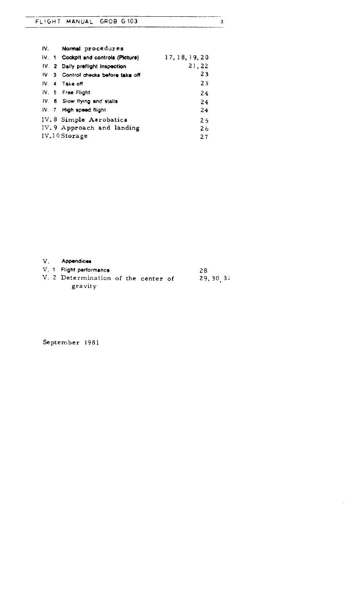| FLIGHT MANUAL GROB G103 |  |  |  |
|-------------------------|--|--|--|
|                         |  |  |  |

| IV. | Normal procedures                    |                |
|-----|--------------------------------------|----------------|
|     | IV. 1 Cockpit and controls (Picture) | 17, 18, 19, 20 |
|     | IV. 2 Daily preflight inspection     | 21,22          |
|     | IV 3 Control checks before take off  | 23             |
|     | IV <sub>4</sub> Take off             | 23             |
|     | IV. 5 Free Flight                    | 24             |
|     | IV. 6 Slow flying and stalls         | 24             |
|     | IV. 7 High speed flight              | 24             |
|     | IV.8 Simple Aerobatics               | 25             |
|     | IV. 9 Approach and landing           | 26             |
|     | IV.10 Storage                        | 27             |

V. Appendices

gravity

V. 1 Flight performance 28 V. 2 Determination of the center of 29.30.3

 $\bar{z}$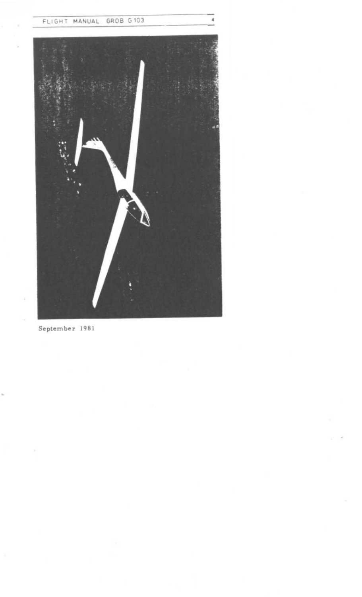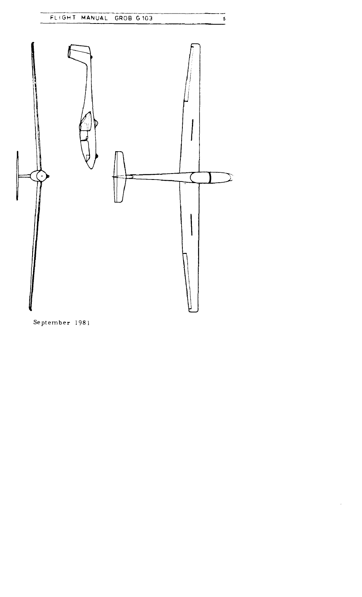

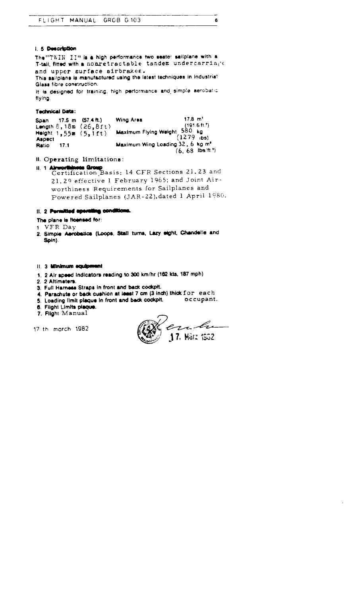#### i. 5 Description

The "TWIN II" is a high performance two seater sailplane with a T-tall, fitted with a nonretractable tandem undercarriage and upper surface eirbrakee . This sailpiane is manufactured using the latest techniques in industrial Glass fibre construction .

It is designed for training, high performance and simple aerobatic flying .

#### Tednscal Data :

 $(6, 68$  lbs $'$ ft.<sup>\*</sup>) Span 17.5 m  $(57.4 \text{ ft.})$  Wing Area<br>Length  $8,18\text{ m}$   $(26,8\text{ ft.})$ 17.8 m' Length 8, 18m (26,8f t) (191 .6ft .') Maximum Flying Weight 580 kg Height 1,55m (5,1ft)<br>Associ Aspect<br>Ratio  $(1279)$  ibs) 17.1 Maximum Wing Loading 32, 6 kg m<sup>\*</sup>

II . Operating limitations :

II. 1 Almorthiness Group<br>Certification Basis: 14 CFR Sections 21.23 and 21.29 effective 1 February 1965; and Joint Airworthiness Requirements for Sailplanes and Powered Sailplanes (JAR-22), dated 1 April 1980.

#### It. 2 Permitted aperating conditions.

# The plane is licensed for:

- 1 VFR Day
- 2. Simple Aerobatics (Loops, Stall turns, Lazy eight, Chandelle and Spin).

#### II. 3 Minimum equipment

- <sup>1</sup> . 2 Air speed Indicators reading to 300 km/hr (162 kts, 187 mph)
- 2. 2 Altimeters.
- 3. Full Harness Straps in front and back cockpit.
- 4. Parachute or back cushion at least 7 cm  $(3 \text{ inch})$  thick  $f \circ r$  each  $f$ , i oading limit plaque in front and back cockpit.  $f \circ r$  occupant.
- 5. Loading limit plaque in front and back cockpit.
- 6. Flight Limits plaque .
- 7. Flight Manual

<sup>17</sup> th morch 1982

e br 17. März 1952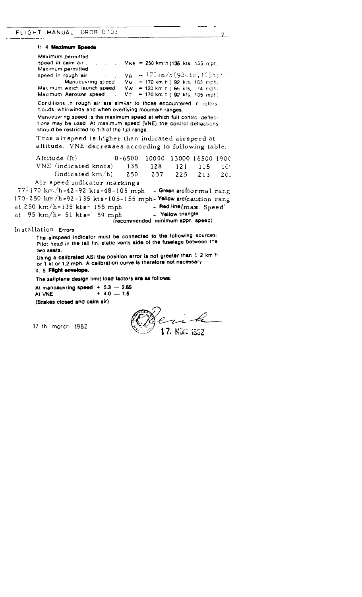| GROB G103<br>FLIGHT MANUAL                                                                    |                                                                                                                                                 |                 |
|-----------------------------------------------------------------------------------------------|-------------------------------------------------------------------------------------------------------------------------------------------------|-----------------|
| 11. 4 Maximum Speeds                                                                          |                                                                                                                                                 |                 |
| Maximum permitted                                                                             |                                                                                                                                                 |                 |
| speed in calm air<br>Maximum permitted                                                        | VNE = 250 km/h (135 kts, 155 mph)                                                                                                               |                 |
| speed in rough air                                                                            | = 170km/h(92kts,105mph)<br>V <sub>R</sub>                                                                                                       |                 |
| Mandeuvring speed                                                                             | $V_M = 170$ km h (92 kts, 105 mph)                                                                                                              |                 |
| Maximum winch faunch speed                                                                    | $Vw = 120$ km h ( $65$ kts, $74$ mph)                                                                                                           |                 |
| Maximum Aerotow speed                                                                         | VT.<br>= 170 km/h (92 kts. 105 mph)                                                                                                             |                 |
| clouds, whirlwinds and when overflying mountain ranges.                                       | Conditions in rough air are similar to those encountered in rotors.                                                                             |                 |
|                                                                                               | Manoeuvring speed is the maximum speed at which full control deflec-                                                                            |                 |
| should be restricted to 1/3 of the full range.                                                | tions may be used. At maximum speed (VNE) the control deflections                                                                               |                 |
|                                                                                               | True airspeed is higher than indicated airspeed at                                                                                              |                 |
|                                                                                               | altitude. VNE decreases according to following table.                                                                                           |                 |
| Altitude (ft)                                                                                 | $0 - 6500$<br>10000<br>13000 16500 1900                                                                                                         |                 |
| VNE (indicated knots)                                                                         | 135.<br>128<br>121<br>115                                                                                                                       | 10 <sup>o</sup> |
| (indicated km/h)                                                                              | 237<br>250<br>225<br>213                                                                                                                        | 201             |
| Air speed indicator markings                                                                  |                                                                                                                                                 |                 |
| $77 - 170$ km/h=42-92 kts=48-105 mph                                                          | - Green archormal rang                                                                                                                          |                 |
| 170-250 km/h=92-135 kts=105-155 mph-Yellow arc(caution rang                                   |                                                                                                                                                 |                 |
| at 250 km/h=135 kt $s = 155$ mph                                                              | - Red line (max. Speed)                                                                                                                         |                 |
| at 95 km/h= 51 kts= 59 mph                                                                    | - Yellow triangle                                                                                                                               |                 |
|                                                                                               | (recommended minimum appr. speed)                                                                                                               |                 |
| Installation Errors                                                                           |                                                                                                                                                 |                 |
|                                                                                               | The airspeed indicator must be connected to the following sources:<br>Pitot head in the tail fin, static vents side of the fuselage between the |                 |
| two seats.                                                                                    | Using a calibrated ASI the position error is not greater than $\pm$ 2 km/h                                                                      |                 |
| 11. 5 Filght envelope.                                                                        | or 1 kt or 1.2 mph. A calibration curve is therefore not necessary.                                                                             |                 |
|                                                                                               |                                                                                                                                                 |                 |
|                                                                                               |                                                                                                                                                 |                 |
| The sailplane design limit load factors are as follows:<br>At manoeuvring speed $+5.3 - 2.65$ |                                                                                                                                                 |                 |
| $+4.0 - 1.5$<br>At VNE<br>(Brakes closed and calm air)                                        |                                                                                                                                                 |                 |

en 4 EZ (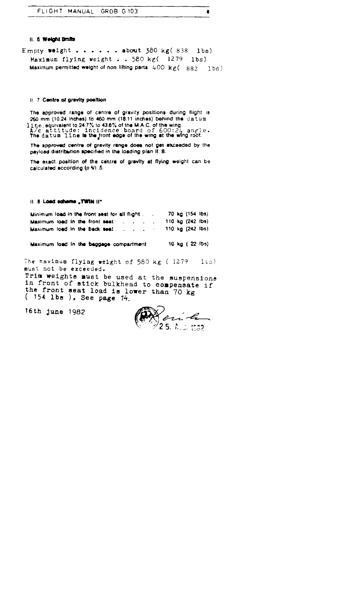#### 11. 6 Weight Braits

|                    | FLIGHT MANUAL GROB G103                                                    |  |  | Ы |  |
|--------------------|----------------------------------------------------------------------------|--|--|---|--|
|                    |                                                                            |  |  |   |  |
| II. 6 Welght Dmite |                                                                            |  |  |   |  |
|                    | Empty weight about 380 kg(838 lbs)                                         |  |  |   |  |
|                    | Maximum flying weight 580 kg( 1279 lbs)                                    |  |  |   |  |
|                    | Maximum permitted weight of non-lifting parts $400 \text{ kg}(-882 - 165)$ |  |  |   |  |

#### II. 7 Centre of gravity position

The approved range of centre of gravity positions during flight is 260 mm (10.24 Inches) to 460 mm (18.11 inches) behind the datum l ine equivalent to 24.7% to 43.6% of the M.A.C. of the wing.<br> $A/c$  attitude: incidence board of  $600:24$  angle. The datum line Is thelront edge of the wing at the wing root .

The approved centre of gravity range does not get exceeded by the payload distribution specified in the loading plan II. 8.

The exact position of the cehtre of gravity at flying weight can be calculated according to VI 5.

#### II. 8 Load schame "TWIN II"

| Minimum load in the front seat for all flight.                        |  |  |  |  |  | 70 kg (154 lbs) |  |
|-----------------------------------------------------------------------|--|--|--|--|--|-----------------|--|
| Maximum load in the front seat $\ldots$ , $\ldots$ , 110 kg (242 lbs) |  |  |  |  |  |                 |  |
| Maximum load in the back seat 110 kg (242 lbs)                        |  |  |  |  |  |                 |  |

Maximum load in the baggage compartment 10 kg ( 22 IDs)

"The maximum flying ∎eight of 580 kg ( 1279  $1 \cdot s$ ) must not be exceeded.

Trim weights must be used at the suspensions in front of stick bulkhead to compensate if the front seat load is lower than 70 kg 154 lbs ). See page *14*.

16th June 1982

 $\mathscr{L}_{\mathcal{I}}$ 2 5. ກົວວ່າ ແລ້ວ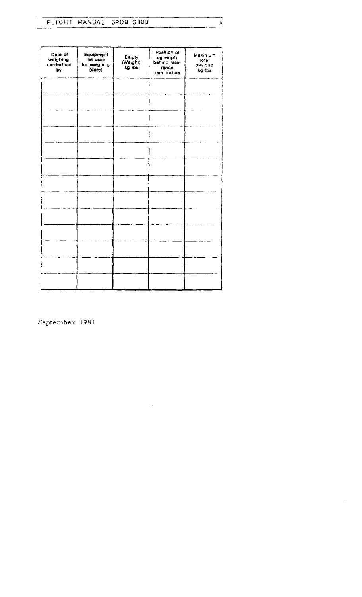| FLIGHT MANUAL GROB G103 |  |  |  |
|-------------------------|--|--|--|

 $\mathfrak s$ 

| Date of<br>weighing:<br>carried out<br>by. | Equipment<br>list used<br>for weighing<br>(date) | Empty<br>(Weighl)<br>kg/lbs | Position of<br>cg empty<br>behind rafe-<br>rence<br>mm/inches | Maximum<br>total<br>payload<br>kg lbs |
|--------------------------------------------|--------------------------------------------------|-----------------------------|---------------------------------------------------------------|---------------------------------------|
|                                            |                                                  |                             |                                                               |                                       |
|                                            |                                                  |                             |                                                               |                                       |
|                                            |                                                  |                             |                                                               |                                       |
|                                            |                                                  |                             |                                                               |                                       |
|                                            |                                                  |                             |                                                               |                                       |
|                                            |                                                  |                             |                                                               |                                       |
|                                            |                                                  |                             |                                                               |                                       |
|                                            |                                                  |                             |                                                               |                                       |
|                                            |                                                  |                             |                                                               |                                       |
|                                            |                                                  |                             |                                                               |                                       |
|                                            |                                                  |                             |                                                               |                                       |
|                                            |                                                  |                             |                                                               |                                       |

 $\hat{\mathcal{A}}$ 

 $\mathcal{A}^{\mathcal{A}}$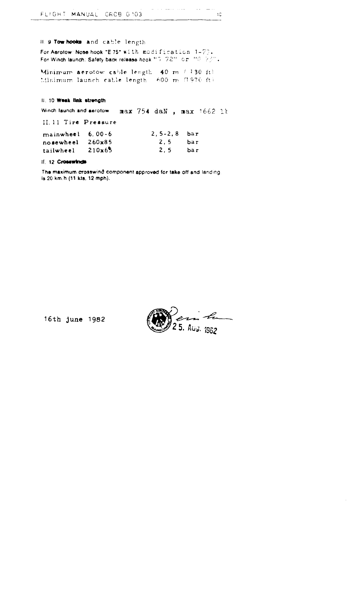II. 9 Tow hooks and cable length For Aerotow: Nose hook "E.75" with modification  $1-75$ .<br>For Winch launch: Safety back release hook "G. 72" or "G. 73".

Minimum aerotow cable length 40 m ( 130 ft) Minimum launch cable length 600 m (1970 ft)

II. 10 Week link strength

Winch faunch and aerotow. max 754 daN, max 1662 11 II.11 Tire Pressure mainwheel 6.00-6  $2, 5-2, 8$  bar  $2, 5$ 260x85 bar nosewheel 210x65  $2, 5$ bar tailwheel

II. 12 Crosswinds

The maximum crosswind component approved for take off and landing, is 20 km.h (11 kts, 12 mph).

16th june 1982

5. Aus. 1982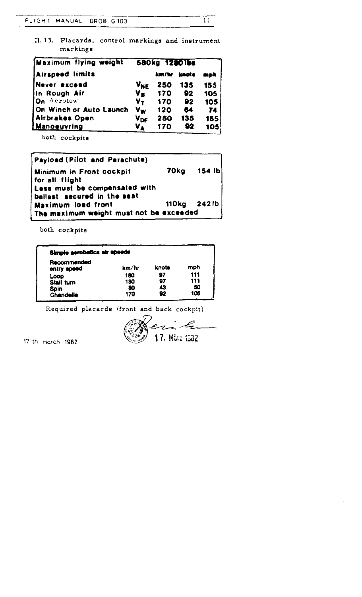II.13. Placards, control markings and instrument markings

| Maximum flying weight   |                       | 580kg 12801bs |     |     |
|-------------------------|-----------------------|---------------|-----|-----|
| Airspeed limits         |                       | km/hr knots   |     | mph |
| Never exceed            | <b>V<sub>NE</sub></b> | 250           | 135 | 155 |
| In Rough Air            | V <sub>R</sub>        | 170           | 92  | 105 |
| On Aerotow              | $V_T$                 | 170           | 92  | 105 |
| On Winch or Auto Launch | <b>Vw</b>             | 120           | 64  | 74  |
| Airbrakes Open          | $V_{\text{DF}}$       | 250           | 135 | 155 |
| Manoguvring             | VA.                   | 170           | 92  | 105 |

both cockpits

| <b>Payload (Pilot and Parachute)</b>    |  |               |  |  |  |
|-----------------------------------------|--|---------------|--|--|--|
| <b>Minimum in Front cockpit</b>         |  | 70kg 154 lb   |  |  |  |
| for all flight                          |  |               |  |  |  |
| Less must be compensated with           |  |               |  |  |  |
| ballast secured in the seat             |  |               |  |  |  |
| <b>Maximum load front</b>               |  | 110kg $2421b$ |  |  |  |
| The maximum weight must not be exceeded |  |               |  |  |  |

both cockpits

| Simple aerobatics air speeds |       |       |     |
|------------------------------|-------|-------|-----|
| Recommended<br>entry speed   | km/hr | knots | mph |
| Loop                         | 180   | 97    | 111 |
| Stall turn                   | 180   | 97    | 111 |
| <b>Spin</b>                  | 80    | 43    | 50  |
| Chandelle                    | 170   | 92    | 106 |

Required placards (front and back cockpit)

i, li 17. März 1532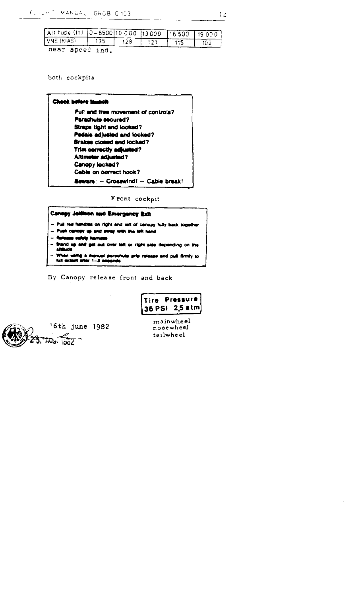| Altitude (ft) 0-6500100000 13000 16500 19000 |     |  |  |
|----------------------------------------------|-----|--|--|
| $VNE$ (KIAS) $\qquad$ $\qquad$ 135 $\top$    | 128 |  |  |
| near speed ind.                              |     |  |  |

both cockpits

| <b>Check before investib</b>               |
|--------------------------------------------|
| Full and free movement of controls?        |
| Parachute secured?                         |
| <b>Btraps tight and locked?</b>            |
| Pedals adjusted and locked?                |
| <b>Brakes closed and locked?</b>           |
| Trim correctly adjusted?                   |
| Altimoter adjusted?                        |
| Canopy locked?                             |
| Cable on correct hook?                     |
| <b>Beware: - Crosswind! - Cable brask!</b> |

Front cockpit

# Canopy Jollinon and Emergency Exit

- Pull red handles on right and left of canopy fully back sogether
- Push cancery up and sway with the left hand
- Release safety harness
- Stand up and get out over left or right side depending on the<br>allitude

when using a manual persohuts grip release and pull firmly to<br>full extent after 1--3 sesends

By Canopy release front and back





mainwheel nosewheel tailwheel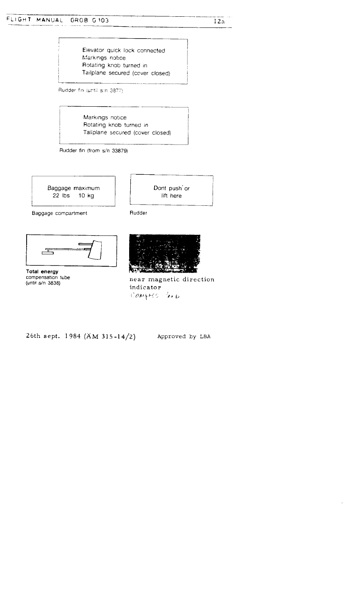# FLIGHT MANUAL GROB G103 FLIGHT MANUA

 $12a$ 

Elevator quick lock connected Markings notice Rotating knob turned in Tailplane secured (cover closed)

Rudder fin (until s/n 3877).

Markings notice Rotating knob turned in Tailplane secured (cover closed)

Rudder fin (from s/n 33879)



Dont push<sup>t</sup>or lift here

Baggage compartment

Total energy compensation tube (until  $s/n$  3838)

 $\equiv$ 

 $\sim$ 



Rudder

near magnetic direction indicator COMPES 400

26th sept. 1984 (AM 315-14/2)

Approved by LBA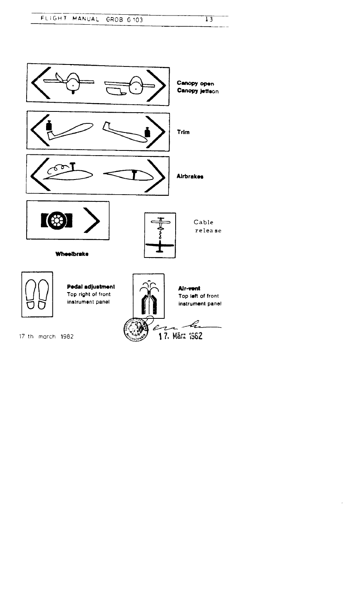



 $\ddot{\phantom{0}}$ 

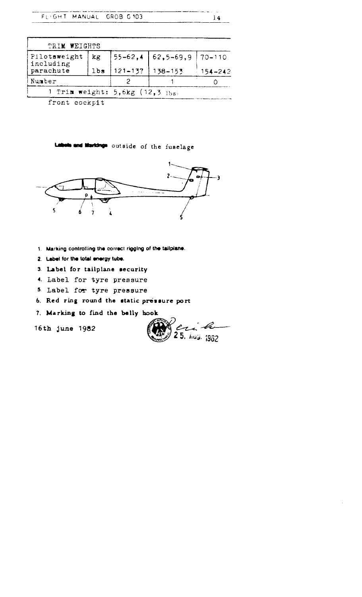| FLIGHT MANUAL                        |     | GROB G103      |                 | 14          |
|--------------------------------------|-----|----------------|-----------------|-------------|
|                                      |     |                |                 |             |
| WEIGHTS<br>TRIM                      |     |                |                 |             |
| Pilotsweight<br>including            | kg  | $55 - 62, 4$   | $62, 5 - 69, 9$ | $70 - 110$  |
| parachute                            | lbs | $121 - 137$    | 138-153         | $154 - 242$ |
| Number                               |     | $\overline{2}$ | 1               | 0           |
| 1<br>Trim weight: $5,6kg$ (12,3 lbs) |     |                |                 |             |

front cockpit

# Labels and Markings outside of the fuselage



- 1. Marking controlling the correct rigging of the tailplane.
- 2. Lebel for the total energy tube.
- 3. Label for tailplane security
- 4. Label for tyre pressure
- 5. Label for tyre pressure
- 6. Red ring round the static pressure port
- 7. Marking to find the belly hook

16th June 1982

 $e_{1}, e_{-}$  $25.$  hug,  $1982$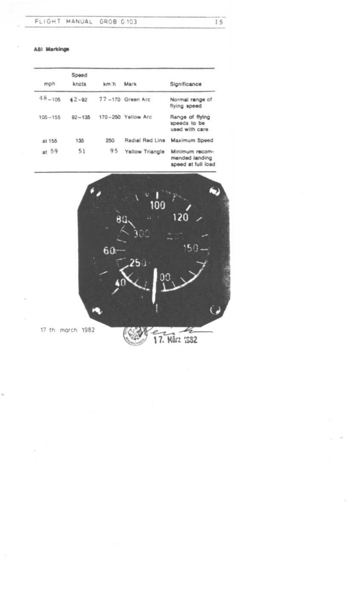ASI Markings

| mph         | Speed<br>knots | km h | Mark               | Significance                                           |
|-------------|----------------|------|--------------------|--------------------------------------------------------|
|             |                |      |                    |                                                        |
| $48 - 105$  | $42 - 82$      |      | 77-170 Green Arc   | Normal range of<br>flying speed                        |
| $105 - 155$ | $92 - 135$     |      | 170-250 Yellow Arc | Range of flying<br>speeds to be<br>used with care      |
| at 155      | 135            | 250  | Radial Red Line    | Maximum Speed                                          |
| at 59       | 51             | 95   | Yellow Triangle    | Minimum recom-<br>mended landing<br>speed at full load |



17. März 1982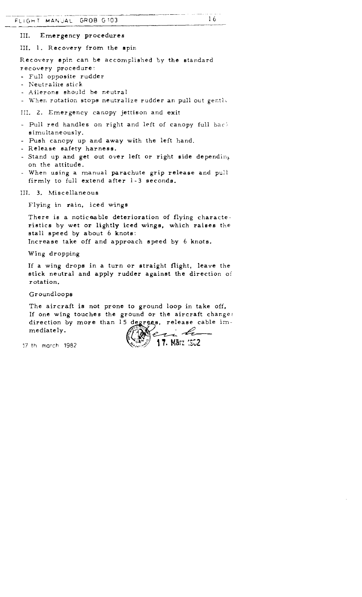III. Emergency procedures

III. 1. Recovery from the spin

Recovery spin can be accomplished by the standard recovery procedure :

- Full opposite rudder

- Neutralize stick

- Ailerons should be neutral

- When rotation stops neutralize rudder an pull out gently

III. 2. Emergency canopy jettison and exit

- Pull red handles on right and left of canopy full back simultaneously.
- Push canopy up and away with the left hand.
- Release safety harness.
- Stand up and get out over left or right side depending on the attitude .
- When using a manual parachute grip release and pull firmly to full extend after 1-3 seconds .

III. 3. Miscellaneous

Flying in rain, iced wings

There is a noticeable deterioration of flying characteristics by wet or lightly iced wings, which raises the stall speed by about 6 knots:

Increase take off and approach speed by 6 knots.

Wing dropping

If a wing drops in a turn or straight flight, leave the stick neutral and apply rudder against the direction of rotation.

Groundloops

The aircraft is not prone to ground loop in take off, If one wing touches the ground or the aircraft changes direction by more than 15 degrees, release cable immediately . FUSAT MANAL GROB 5.103<br>
III. Emergency procedures<br>
III. 1. Recovery from the spin<br>
Recovery point can be accomplished by the stand<br>
recovery point can be accomplished by the stand<br>
recovery point at active<br>
. Full opposit

17 th march 1982  $\sqrt{\frac{12.5889}{17}}$  17. März 1962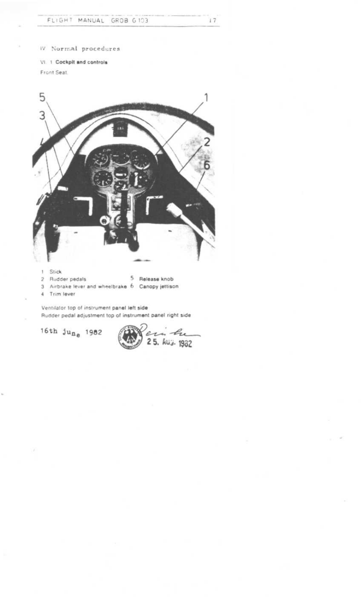W Normal procedures

VI. 1 Cockpit and controls Front Seat.



1 Stick

2 Rudder pedals

5 Release knob

3 Airbrake lever and wheelbrake 6 Canopy jettison

4 Trim lever

Ventilator top of instrument panel left side Rudder pedal adjustment top of instrument panel right side

16th  $ju_{n_e}$  1982

eri Lui<br>25. huj. 1982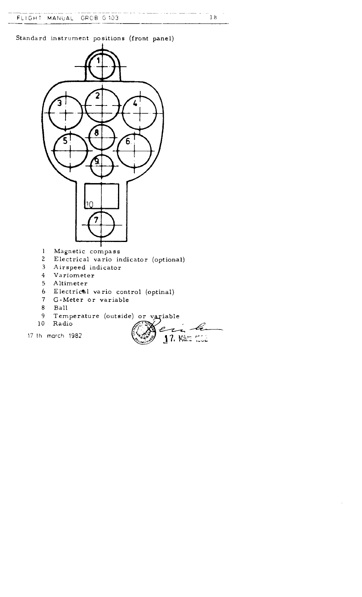FLIGHT MANUAL GRCB G103

Standard instrument positions (front panel)



- $\overline{7}$ G-Meter or variable
- 8 Ball
- 9 Temperature (outside) or variable
- 10 Radio
- 

ri le e 17 th march 1982  $\frac{15}{27}$   $\frac{17}{17}$  Marz (CC2)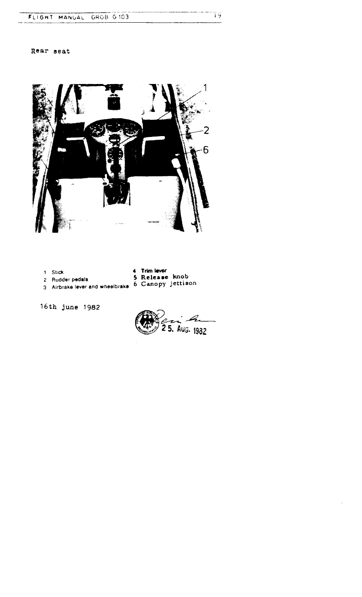# FLIGHT MANUAL GROB G103 FLIGHT

# Rear seat



<sup>1</sup> Stick

- 4 Trim lever
- 
- 
- <sup>2</sup> Rudder pedals 5 Release knob
- 3 Airbrake lever and wheelbrake 6 Canopy jettison

16th June 1982

5. Aug. 1982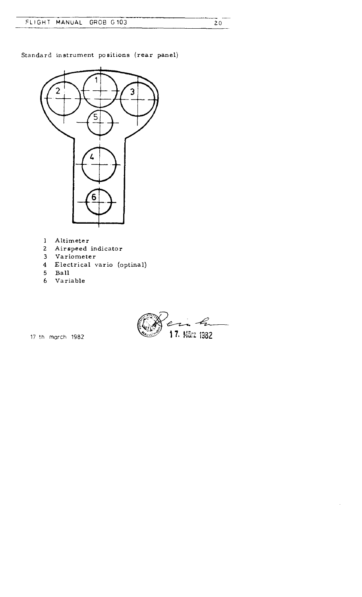Standard instrument positions (rear panel)



- Altimeter
- Airspeed indicator
- Variometer
- Electrical vario (optinal)
- Ball
- Variable

17 th march 1982  $\frac{17}{2}$  17. Marz 1982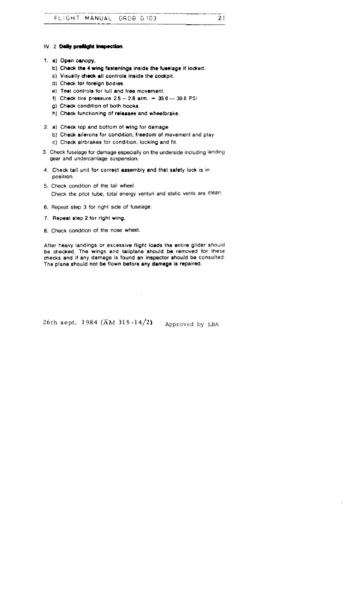#### IV. 2 Daily preflight inepection

- 1. a) Open canopy,
	- b) Check the 4 wing fastenings Inside the fuselage if locked.
	- c) Visually check all controls inside the cockpit.
	- d) Check for foreign bodies.
	- e). Test controls for full and free movement.  $\blacksquare$
	- f) Check tire pressure 2.5 2.8 atm. = 35.6 39.8 PSI
	- g) Check condition of both hooks .
	- h) Check functioning of releases and wheelbrake .
- 2 . a) Check top and bottom of wing for damage
	- b) Check ailerons for condition, freedom of movement and play
	- c) Uneck airbrakes for condition, locking and fit
- 3 . Check fuselage for damage especially on the underside including landing gear and undercarriage suspension.
- 4 . Check tail unit for correct assembly and that safety lock is in position.
- 5. Check condition of the tail wheel. Check the pitot tube, total energy venturi and static vents are clean .
- 6 . Repeat step 3 for right side of fuselage .
- 7. Repeat step 2 for right wing.
- 8. Check condition of the nose wheel.

After heavy landings or excessive flight loads the entire glider should be checked. The wings and tailplane should be removed for these checks and if any damage is found an inspector should be consulted . The plane should not be flown before any damage is repaired.

26th sept. 1984 (AM 315-14/2) Approved by LBA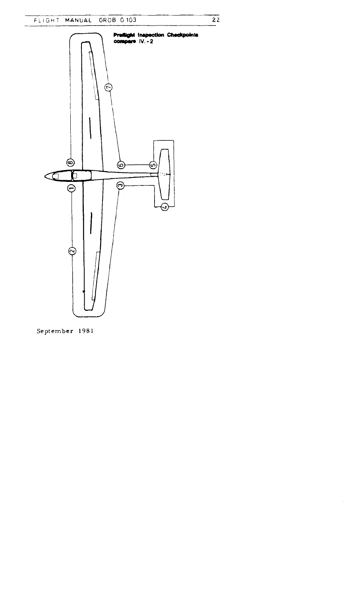$\overline{22}$ 

 $\hat{\mathcal{A}}$ 



September 1981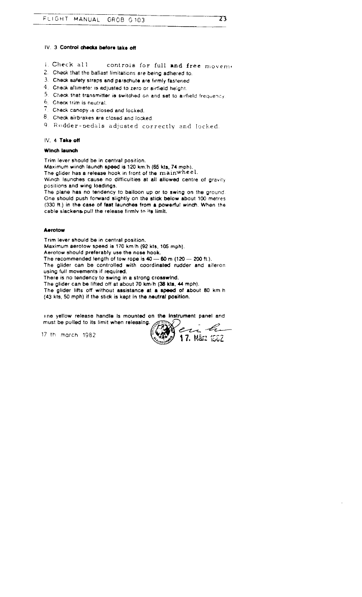3

#### IV. 3 Control checks before take off

- i Check all controls for full and free movem.
- 2. Check that the ballast limitations are being adhered to.
- 3 . Check safety straps and parachute are firmly fastened
- $4.$  Check altimeter is adjusted to zero or airfield height.
- $5$ . Check that transmitter is switched on and set to airfield frequency.
- 6. Cheat trim is neutral .
- $7.$  Check canopy is closed and locked.
- 8. Check airbrakes are closed and locked.
- 9. Rudder-pedals adjusted correctly and locked.

#### IV. 4 Take off

#### Winch launch

Trim lever should be in central position.

Maximum winch launch speed is 120 km'h (65 kts, 74 moh) .

The glider has a release hook in front of the mainwheel.

Winch launches cause no difficulties at all allowed centre of gravity positions and wing loadings.

The plane has no tendency to balloon up or to swing on the ground. One should push forward slightly on the stick below about 100 metres (330 ft.) in the case of fast launches from a powerful winch. When the cable slackens pull the release firmly to its limit.

#### **Aerotow**

Trim lever should be in central position. Maximum aerotow speed is 170 km/h (92 kts, 105 mph) . Aerotow should preferably use the nose hook. The recommended length of tow rope is  $40 - 60$  m (120  $-$  200 ft.). The glider can be controlled with coordinated rudder and aileron using full movements if required. There is no tendency to swing in a strong crosswind. The glider can be lifted off at about 70 km/h (38 kts, 44 mph). The glider lifts off without assistance at a speed of about 80 km h (43 kts, 50 mph) if the stick is kept in the neutral position.

i ne yellow release handle Is mounted on the Instrument panel and must be pulled to its limit when releasing.

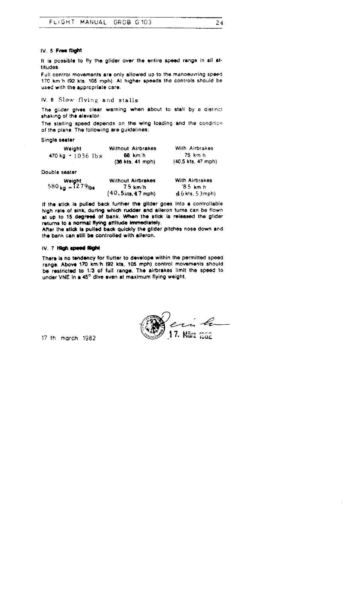#### IV. 5 Free flight

It is possible to fly the glider over the entire speed range in all attitudes .

Full control movements are only allowed up to the manoeuvring speed 170 km'h (92 kts, 105 mph) . At higher speeds tho controls should be used with the appropriate care.

# IV. 6 Slow flying and stalls

The glider gives clear warning when about to stall by a distinct shaking of the elevator.

The stalling speed depends on the wing loading and the condition of the plane . The following are guidelines :

Single seater

| Weight                        | <b>Without Airbrakes</b> | With Airbrakes        |
|-------------------------------|--------------------------|-----------------------|
| 470 kg = $1036$ lbs           | 66 km/h                  | 75 km h               |
|                               | $(36$ kts, 41 mph)       | (40.5 kts, 47 mph)    |
| Double seater                 |                          |                       |
|                               | <b>Without Airbrakes</b> | <b>With Airbrakes</b> |
| Weight<br>580 kg = $1279$ lbs | 75 km/h                  | '85 km h              |

7.5 km/h '8.5 km.h<br>kts,4.7 mph) (4.6 kts, 5.3mph)

2 4

I1 the stick is pulled back further the glider goes Into a controllable high rate of sink during which rudder and aileron turns can be flown at up to 15 degrees of bank. When the stick is released the glider returns to a normal flying attitude immediately.

 $(40, 5$ kts  $47$  mph)

After the stick is pulled back quickly the glider pitches nose down and the bank can still be controlled with alleron.

#### IV. 7 High speed flight

There is no tendency for flutter to develope within the permitted speed range. Above 170 km/h (92 kts, 105 mph) control movements should be restricted to 1/3 of full range. The airbrakes limit the speed to under VNE In a 45° dive even at maximum flying weight.

17. März 1962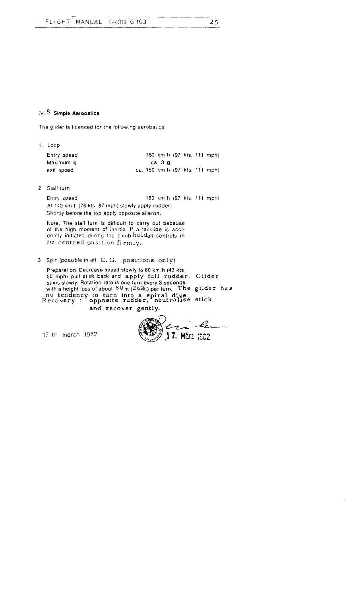# IV,  $8$  Simple Aerobatics

The glider is licenced for the following aerobatics

| 1. Loop     |  |         |  |  |                                |
|-------------|--|---------|--|--|--------------------------------|
| Entry speed |  |         |  |  | 180 km h (97 kts. 111 mph)     |
| Maximum q   |  | са. З д |  |  |                                |
| exit speed  |  |         |  |  | ca. 180 km h (97 kts. 111 mph) |

2 . Stall turn

At 140 km h (76 kts, 87 mph) slowly apply rudder . Shortly before the top apply opposite aileron. Entry speed 180 km h (97 k's . 111 mph)

Note: The stall turn is difficult to carry out because of the high moment of inertia . If a tallslide is accidently initiated during the climb holdall controls in the centred position firmly.

### 3. Spin (possible in aft C. G. positions only)

Preparation. Decrease speed slowly to 80 km h (43 kts. 50 mph) pull stick back and apply full rudder . Glider spins slowly. Hotation rate is one turn every 3 seconds<br>with a height loss of about 80 m (264t.) per turn. The gilder has no tendency to turn into a spiral dive.<br>!ecovery : opposite rudder, neutralise stick Recovery : and recover gently.

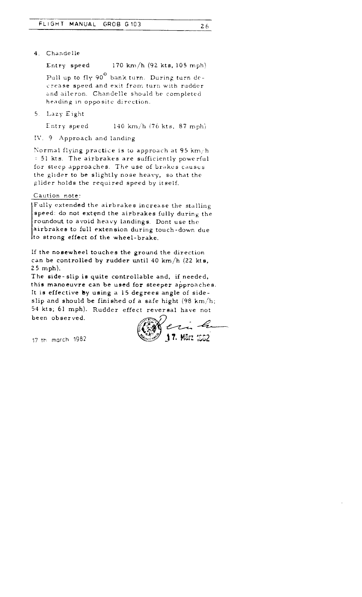4. Chandelle

Entry speed 170 km/h (92 kts, 105 mph)

26

Pull up to fly  $90^\circ$  bank turn. During turn decrease speed and exit from turn with rudder and aileron. Chandelle should be completed heading in opposite direction.

5 . L3zy Eight

Entry speed 140 km/h (76 kts, 87 mph)

IV . 9 Approach and landing

Normal flying practice is to approach at 95 km/h 51 kts . The airbrakes are sufficiently powerful for steep approaches. The use of brakes causes the glider to be slightly nose heavy, so that the glider holds the required speed by itself.

#### Caution note:

Fully extended the airbrakes increase the stalling speed: do not extend the airbrakes fully during the roundout to avoid heavy landings. Dont use the airbrakes to full extension during touch-down due Ito strong effect of the wheel-brake.

If the nosewheel touches the ground the direction can be controlled by rudder until 40 km/h (22 kts,  $25$  mph).

The side-slip is quite controllable and, if needed, this manoeuvre can be used for steeper approaches. It is effective by using a 15 degrees angle of sideslip and should be finished of a safe hight  $(98 \text{ km/h})$ ; 54 kts; 61 mph). Rudder effect reversal have not been observed.

17 th march 1982 (200 17. March 1982)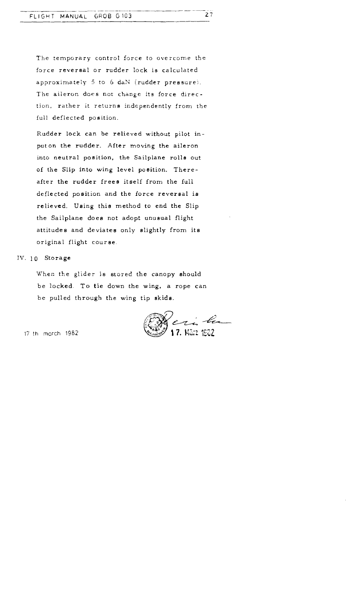The temporary control force to overcome the force reversal or rudder lock is calculated approximately 5 to 6 daN (rudder pressure). The aileron does not change its force direction, rather it returns independently from the full deflected position.

Rudder lock can be relieved without pilot inputon the rudder. After moving the aileron into neutral position, the Sailplane rolls out of the Slip into wing level position. Thereafter the rudder frees itself from the full deflected position and the force reversal is relieved. Using this method to end the Slip the Sailplane does not adopt unusual flight attitudes and deviates only slightly from its original flight course .

#### IV. 10 Storage

When the glider is stored the canopy should be locked. To tie down the wing, a rope can be pulled through the wing tip skids.

Jeri Le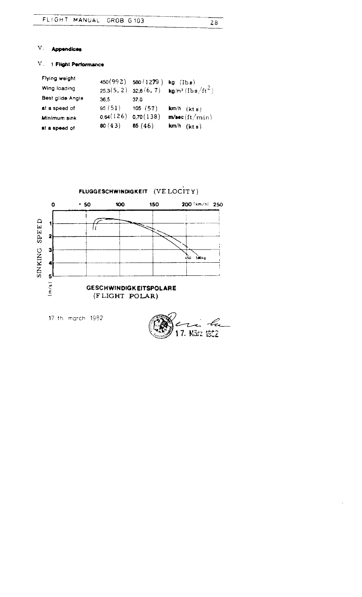#### 28

17. März 1952

# $V$  . Appendices

# V . 1 Flight Performance

| at a speed of    | 80 $(43)$ | 85(46)                    | $km/h$ (kts)                     |
|------------------|-----------|---------------------------|----------------------------------|
| Minimum sink     | 0.64(126) | 0,70(138)                 | m/sec(ft/min)                    |
| at a speed of    | 95(51)    | 105(57)                   | $km/h$ (kt s)                    |
| Best glide Angle | 36.5      | 37 C                      |                                  |
| Wing loading     |           | $25.3(5, 2)$ $32.6(6, 7)$ | $kg/m^2$ (Ib s/ft <sup>2</sup> ) |
| Flying weight    |           | $450(992)$ 580 (1279)     | $kg$ ( $lbs$ )                   |

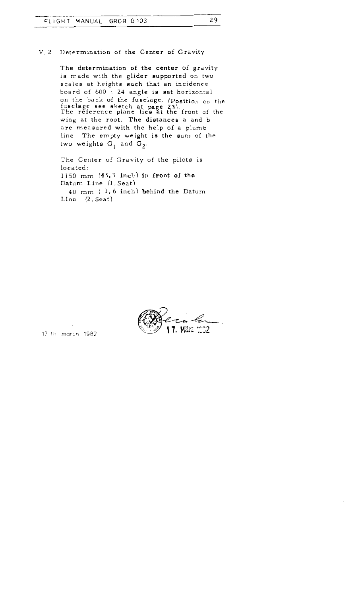#### V. 2 Determination of the Center of Gravity

The determination of the center of gravity is made with the glider supported on two scales at heights such that an incidence board of  $600 \div 24$  angle is set horizontal 24 angle is set horizontal on the back of the fuselage, (Position on the fuselage see sketch at page 23). The reference plane lies at the front of the wing at the root. The distances a and b are measured with the help of a plumb line. The empty weight is the sum of the two weights  $G_1$  and  $G_2$ . FLIGHT MANUAL G<br>The determination<br>The determination<br>is made with t<br>scales at heigh<br>board of 600 :<br>on the back of<br>fuselage see s<br>The reference<br>wing at the root<br>are measured<br>line. The emptwo weights G<br>The Center of<br>Icated:<br>I

The Center of Gravity of the pilots is located : 1150 mm (45,3 inch) in front of the Datum Line (1. Seat) 40 mm ( 1, 6 inch) behind the Datum  $Line$   $(2. Set)$ 

17. März: 1002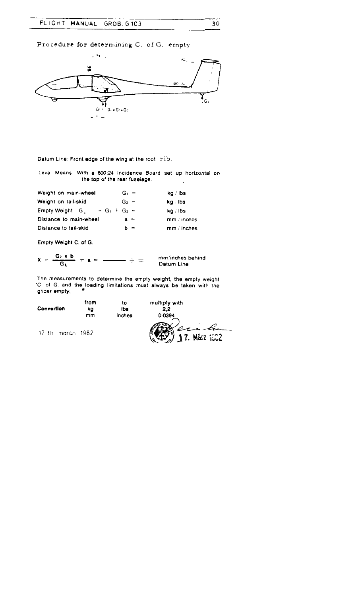FLIGHT MANUAL GROB . G 103  $FLIG$ 

Procedure for determining C. of G. empty



Datum Line: Front edge of the wing at the root rib.

Level Means: With a 600:24 Incidence Board set up horizontal on the top of the rear fuselage.  $\ddot{\phantom{a}}$ 

| Weight on main-wheel                         | $G_1 =$ | kg / ibs      |
|----------------------------------------------|---------|---------------|
| Weight on tail-skid                          | $G_2 =$ | ka Ibs        |
| <b>Empty Weight</b> $G_L$<br>$= G_1 + G_2 =$ |         | ka ibs        |
| Distance to main-wheel                       | $a =$   | mm / inches   |
| Distance to tail-skid                        | $b =$   | $mm /$ inches |

Empty Weight C. of G.

$$
X = \frac{G_2 \times b}{G_L} + a = \frac{1}{\sqrt{2}} + \frac{1}{\sqrt{2}} = \frac{1}{\sqrt{2}} + \frac{1}{\sqrt{2}} = \frac{1}{\sqrt{2}} + \frac{1}{\sqrt{2}} = \frac{1}{\sqrt{2}} + \frac{1}{\sqrt{2}} = \frac{1}{\sqrt{2}} + \frac{1}{\sqrt{2}} = \frac{1}{\sqrt{2}} + \frac{1}{\sqrt{2}} = \frac{1}{\sqrt{2}} + \frac{1}{\sqrt{2}} = \frac{1}{\sqrt{2}} + \frac{1}{\sqrt{2}} = \frac{1}{\sqrt{2}} + \frac{1}{\sqrt{2}} = \frac{1}{\sqrt{2}} + \frac{1}{\sqrt{2}} = \frac{1}{\sqrt{2}} = \frac{1}{\sqrt{2}} = \frac{1}{\sqrt{2}} = \frac{1}{\sqrt{2}} = \frac{1}{\sqrt{2}} = \frac{1}{\sqrt{2}} = \frac{1}{\sqrt{2}} = \frac{1}{\sqrt{2}} = \frac{1}{\sqrt{2}} = \frac{1}{\sqrt{2}} = \frac{1}{\sqrt{2}} = \frac{1}{\sqrt{2}} = \frac{1}{\sqrt{2}} = \frac{1}{\sqrt{2}} = \frac{1}{\sqrt{2}} = \frac{1}{\sqrt{2}} = \frac{1}{\sqrt{2}} = \frac{1}{\sqrt{2}} = \frac{1}{\sqrt{2}} = \frac{1}{\sqrt{2}} = \frac{1}{\sqrt{2}} = \frac{1}{\sqrt{2}} = \frac{1}{\sqrt{2}} = \frac{1}{\sqrt{2}} = \frac{1}{\sqrt{2}} = \frac{1}{\sqrt{2}} = \frac{1}{\sqrt{2}} = \frac{1}{\sqrt{2}} = \frac{1}{\sqrt{2}} = \frac{1}{\sqrt{2}} = \frac{1}{\sqrt{2}} = \frac{1}{\sqrt{2}} = \frac{1}{\sqrt{2}} = \frac{1}{\sqrt{2}} = \frac{1}{\sqrt{2}} = \frac{1}{\sqrt{2}} = \frac{1}{\sqrt{2}} = \frac{1}{\sqrt{2}} = \frac{1}{\sqrt{2}} = \frac{1}{\sqrt{2}} = \frac{1}{\sqrt{2}} = \frac{1}{\sqrt{2}} = \frac{1}{\sqrt{2}} = \frac{1}{\sqrt{2}} = \frac{1}{\sqrt{2}} = \frac{1}{\sqrt{2}} = \frac{1}{\sqrt{2}} = \frac{1
$$

mm.'inches behind Datum Line

3 0

The measurements to determine the empty weight, the empty weight U. of G. and the loading limitations must always be taken with the glider empty,

 $=$ 

| Convertion       | from<br>kg | t٥<br>lbs | multiply with<br>2.2 |
|------------------|------------|-----------|----------------------|
|                  | mm         | Inches    | 0.0394               |
| 17 th march 1982 |            |           | 17. März 1802        |